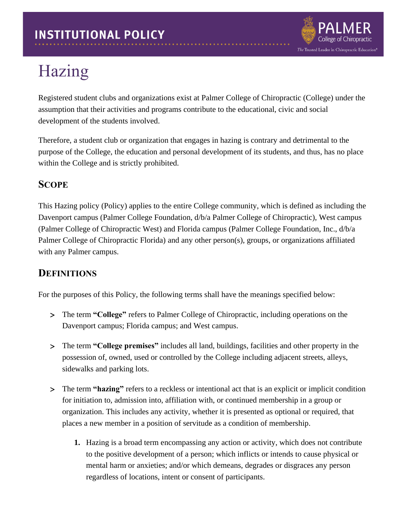

## Hazing

Registered student clubs and organizations exist at Palmer College of Chiropractic (College) under the assumption that their activities and programs contribute to the educational, civic and social development of the students involved.

Therefore, a student club or organization that engages in hazing is contrary and detrimental to the purpose of the College, the education and personal development of its students, and thus, has no place within the College and is strictly prohibited.

## **SCOPE**

This Hazing policy (Policy) applies to the entire College community, which is defined as including the Davenport campus (Palmer College Foundation, d/b/a Palmer College of Chiropractic), West campus (Palmer College of Chiropractic West) and Florida campus (Palmer College Foundation, Inc., d/b/a Palmer College of Chiropractic Florida) and any other person(s), groups, or organizations affiliated with any Palmer campus.

## **DEFINITIONS**

For the purposes of this Policy, the following terms shall have the meanings specified below:

- The term **"College"** refers to Palmer College of Chiropractic, including operations on the Davenport campus; Florida campus; and West campus.
- The term **"College premises"** includes all land, buildings, facilities and other property in the possession of, owned, used or controlled by the College including adjacent streets, alleys, sidewalks and parking lots.
- The term **"hazing"** refers to a reckless or intentional act that is an explicit or implicit condition for initiation to, admission into, affiliation with, or continued membership in a group or organization. This includes any activity, whether it is presented as optional or required, that places a new member in a position of servitude as a condition of membership.
	- **1.** Hazing is a broad term encompassing any action or activity, which does not contribute to the positive development of a person; which inflicts or intends to cause physical or mental harm or anxieties; and/or which demeans, degrades or disgraces any person regardless of locations, intent or consent of participants.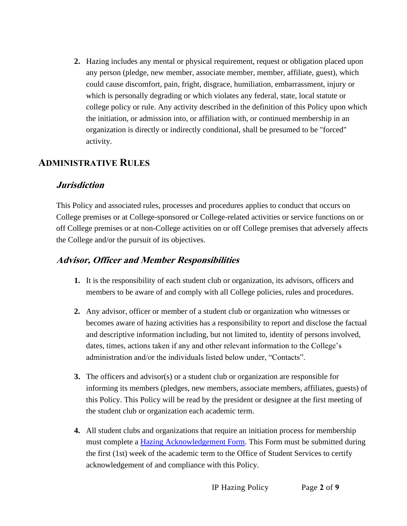**2.** Hazing includes any mental or physical requirement, request or obligation placed upon any person (pledge, new member, associate member, member, affiliate, guest), which could cause discomfort, pain, fright, disgrace, humiliation, embarrassment, injury or which is personally degrading or which violates any federal, state, local statute or college policy or rule. Any activity described in the definition of this Policy upon which the initiation, or admission into, or affiliation with, or continued membership in an organization is directly or indirectly conditional, shall be presumed to be "forced" activity.

## **ADMINISTRATIVE RULES**

### **Jurisdiction**

This Policy and associated rules, processes and procedures applies to conduct that occurs on College premises or at College-sponsored or College-related activities or service functions on or off College premises or at non-College activities on or off College premises that adversely affects the College and/or the pursuit of its objectives.

## **Advisor, Officer and Member Responsibilities**

- **1.** It is the responsibility of each student club or organization, its advisors, officers and members to be aware of and comply with all College policies, rules and procedures.
- **2.** Any advisor, officer or member of a student club or organization who witnesses or becomes aware of hazing activities has a responsibility to report and disclose the factual and descriptive information including, but not limited to, identity of persons involved, dates, times, actions taken if any and other relevant information to the College's administration and/or the individuals listed below under, "Contacts".
- **3.** The officers and advisor(s) or a student club or organization are responsible for informing its members (pledges, new members, associate members, affiliates, guests) of this Policy. This Policy will be read by the president or designee at the first meeting of the student club or organization each academic term.
- **4.** All student clubs and organizations that require an initiation process for membership must complete a [Hazing Acknowledgement Form.](https://livepalmer.sharepoint.com/sites/StudentClubs/Shared%20Documents/Forms/AllItems.aspx?id=%2Fsites%2FStudentClubs%2FShared%20Documents%2FHazing%2DAcknowledgment%2DForm%28s%29%2Epdf&parent=%2Fsites%2FStudentClubs%2FShared%20Documents) This Form must be submitted during the first (1st) week of the academic term to the Office of Student Services to certify acknowledgement of and compliance with this Policy.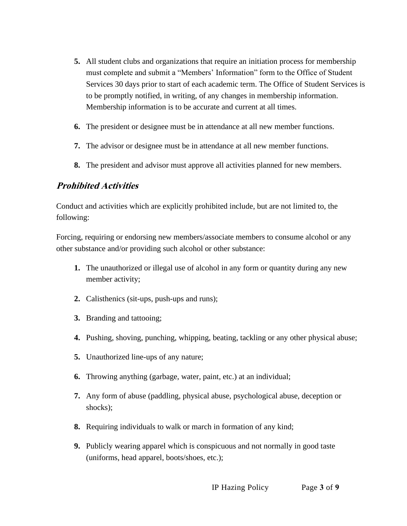- **5.** All student clubs and organizations that require an initiation process for membership must complete and submit a "Members' Information" form to the Office of Student Services 30 days prior to start of each academic term. The Office of Student Services is to be promptly notified, in writing, of any changes in membership information. Membership information is to be accurate and current at all times.
- **6.** The president or designee must be in attendance at all new member functions.
- **7.** The advisor or designee must be in attendance at all new member functions.
- **8.** The president and advisor must approve all activities planned for new members.

## **Prohibited Activities**

Conduct and activities which are explicitly prohibited include, but are not limited to, the following:

Forcing, requiring or endorsing new members/associate members to consume alcohol or any other substance and/or providing such alcohol or other substance:

- **1.** The unauthorized or illegal use of alcohol in any form or quantity during any new member activity;
- **2.** Calisthenics (sit-ups, push-ups and runs);
- **3.** Branding and tattooing;
- **4.** Pushing, shoving, punching, whipping, beating, tackling or any other physical abuse;
- **5.** Unauthorized line-ups of any nature;
- **6.** Throwing anything (garbage, water, paint, etc.) at an individual;
- **7.** Any form of abuse (paddling, physical abuse, psychological abuse, deception or shocks);
- **8.** Requiring individuals to walk or march in formation of any kind;
- **9.** Publicly wearing apparel which is conspicuous and not normally in good taste (uniforms, head apparel, boots/shoes, etc.);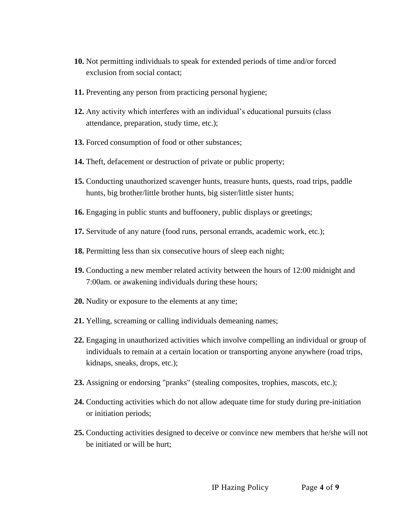- **10.** Not permitting individuals to speak for extended periods of time and/or forced exclusion from social contact;
- **11.** Preventing any person from practicing personal hygiene;
- **12.** Any activity which interferes with an individual's educational pursuits (class attendance, preparation, study time, etc.);
- **13.** Forced consumption of food or other substances;
- **14.** Theft, defacement or destruction of private or public property;
- **15.** Conducting unauthorized scavenger hunts, treasure hunts, quests, road trips, paddle hunts, big brother/little brother hunts, big sister/little sister hunts;
- **16.** Engaging in public stunts and buffoonery, public displays or greetings;
- **17.** Servitude of any nature (food runs, personal errands, academic work, etc.);
- **18.** Permitting less than six consecutive hours of sleep each night;
- **19.** Conducting a new member related activity between the hours of 12:00 midnight and 7:00am. or awakening individuals during these hours;
- **20.** Nudity or exposure to the elements at any time;
- **21.** Yelling, screaming or calling individuals demeaning names;
- **22.** Engaging in unauthorized activities which involve compelling an individual or group of individuals to remain at a certain location or transporting anyone anywhere (road trips, kidnaps, sneaks, drops, etc.);
- **23.** Assigning or endorsing "pranks" (stealing composites, trophies, mascots, etc.);
- **24.** Conducting activities which do not allow adequate time for study during pre-initiation or initiation periods;
- **25.** Conducting activities designed to deceive or convince new members that he/she will not be initiated or will be hurt;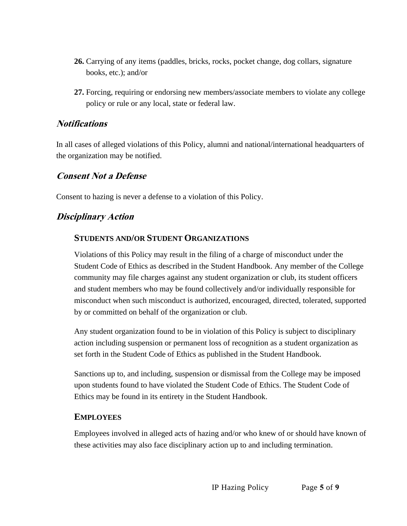- **26.** Carrying of any items (paddles, bricks, rocks, pocket change, dog collars, signature books, etc.); and/or
- **27.** Forcing, requiring or endorsing new members/associate members to violate any college policy or rule or any local, state or federal law.

### **Notifications**

In all cases of alleged violations of this Policy, alumni and national/international headquarters of the organization may be notified.

### **Consent Not a Defense**

Consent to hazing is never a defense to a violation of this Policy.

## **Disciplinary Action**

### **STUDENTS AND/OR STUDENT ORGANIZATIONS**

Violations of this Policy may result in the filing of a charge of misconduct under the Student Code of Ethics as described in the Student Handbook. Any member of the College community may file charges against any student organization or club, its student officers and student members who may be found collectively and/or individually responsible for misconduct when such misconduct is authorized, encouraged, directed, tolerated, supported by or committed on behalf of the organization or club.

Any student organization found to be in violation of this Policy is subject to disciplinary action including suspension or permanent loss of recognition as a student organization as set forth in the Student Code of Ethics as published in the Student Handbook.

Sanctions up to, and including, suspension or dismissal from the College may be imposed upon students found to have violated the Student Code of Ethics. The Student Code of Ethics may be found in its entirety in the Student Handbook.

#### **EMPLOYEES**

Employees involved in alleged acts of hazing and/or who knew of or should have known of these activities may also face disciplinary action up to and including termination.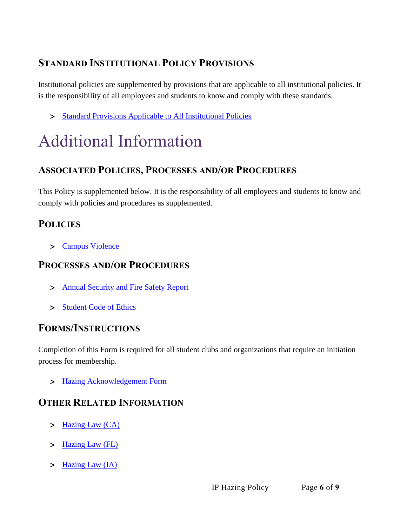## **STANDARD INSTITUTIONAL POLICY PROVISIONS**

Institutional policies are supplemented by provisions that are applicable to all institutional policies. It is the responsibility of all employees and students to know and comply with these standards.

> [Standard Provisions Applicable to All Institutional Policies](http://www.palmer.edu/uploadedFiles/Pages/Students/Resources_and_Offices/Handbook_and_Policies/_pdf/Standard-Provisions-Applicable-to-All-Institutional-Policies.pdf)

# Additional Information

## **ASSOCIATED POLICIES, PROCESSES AND/OR PROCEDURES**

This Policy is supplemented below. It is the responsibility of all employees and students to know and comply with policies and procedures as supplemented.

## **POLICIES**

[Campus Violence](https://www.palmer.edu/getmedia/d3bff7a9-b903-4d9c-943b-dfbaab151476/ip-campus-violence.pdf)

## **PROCESSES AND/OR PROCEDURES**

- > [Annual Security and Fire Safety Report](https://www.palmer.edu/getmedia/1fc436ff-16a4-4560-b24d-03488bdae8ce/annual-security-and-fire-safety-report.pdf)
- > [Student Code of Ethics](http://www.palmer.edu/uploadedfiles/pages/marketing/publications/official_college_documents/student_handbook.pdf)

## **FORMS/INSTRUCTIONS**

Completion of this Form is required for all student clubs and organizations that require an initiation process for membership.

> [Hazing Acknowledgement Form](https://livepalmer.sharepoint.com/:b:/r/sites/StudentClubs/Shared%20Documents/Hazing-Acknowledgment-Form(s).pdf?csf=1&web=1&e=Nta0VK)

## **OTHER RELATED INFORMATION**

- $>$  [Hazing Law \(CA\)](http://www.shouselaw.com/hazing.html)
- > [Hazing Law \(FL\)](http://www.leg.state.fl.us/Statutes/index.cfm?App_mode=Display_Statute&Search_String=&URL=1000-1099/1006/Sections/1006.135.html)
- > [Hazing Law \(IA\)](https://www.stopbullying.gov/laws/iowa/index.html)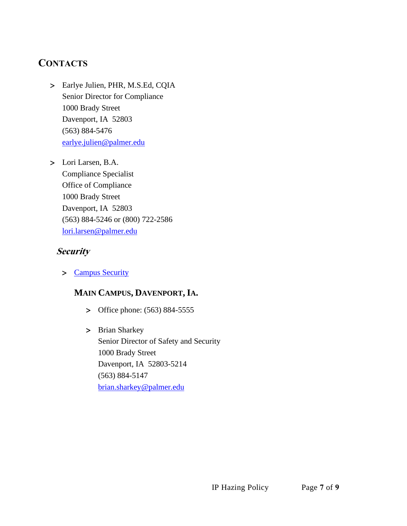## **CONTACTS**

- Earlye Julien, PHR, M.S.Ed, CQIA Senior Director for Compliance 1000 Brady Street Davenport, IA 52803 (563) 884-5476 [earlye.julien@palmer.edu](mailto:julien@palmer.edu)
- Lori Larsen, B.A. Compliance Specialist Office of Compliance 1000 Brady Street Davenport, IA 52803 (563) 884-5246 or (800) 722-2586 [lori.larsen@palmer.edu](mailto:lori.larsen@palmer.edu)

### **Security**

[Campus Security](http://www.palmer.edu/students/resources-offices/security/)

## **MAIN CAMPUS, DAVENPORT, IA.**

- > Office phone: (563) 884-5555
- > Brian Sharkey Senior Director of Safety and Security 1000 Brady Street Davenport, IA 52803-5214 (563) 884-5147 [brian.sharkey@palmer.edu](mailto:brian.sharkey@palmer.edu)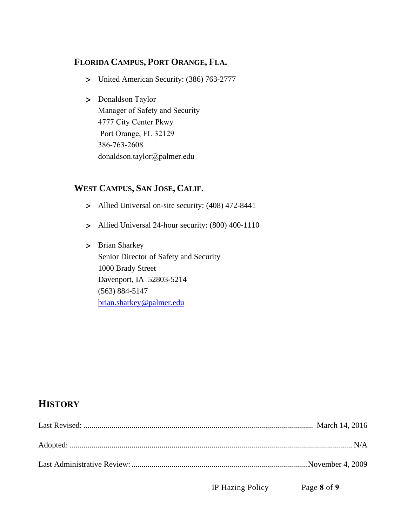### **FLORIDA CAMPUS, PORT ORANGE, FLA.**

- United American Security: (386) 763-2777
- > Donaldson Taylor Manager of Safety and Security 4777 City Center Pkwy Port Orange, FL 32129 386-763-2608 [donaldson.taylor@palmer.e](mailto:brian.sharkey@palmer.edu)du

### **WEST CAMPUS, SAN JOSE, CALIF.**

- Allied Universal on-site security: (408) 472-8441
- Allied Universal 24-hour security: (800) 400-1110
- > Brian Sharkey Senior Director of Safety and Security 1000 Brady Street Davenport, IA 52803-5214 (563) 884-5147 [brian.sharkey@palmer.edu](mailto:brian.sharkey@palmer.edu)

## **HISTORY**

IP Hazing Policy Page **8** of **9**